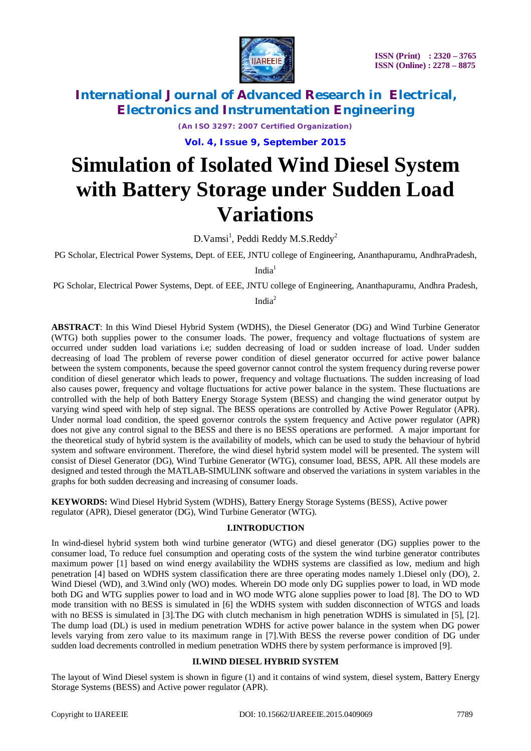

*(An ISO 3297: 2007 Certified Organization)* **Vol. 4, Issue 9, September 2015**

# **Simulation of Isolated Wind Diesel System with Battery Storage under Sudden Load Variations**

D.Vamsi $^1$ , Peddi Reddy M.S.Reddy $^2$ 

PG Scholar, Electrical Power Systems, Dept. of EEE, JNTU college of Engineering, Ananthapuramu, AndhraPradesh,

 $India<sup>1</sup>$ 

PG Scholar, Electrical Power Systems, Dept. of EEE, JNTU college of Engineering, Ananthapuramu, Andhra Pradesh,

India<sup>2</sup>

**ABSTRACT**: In this Wind Diesel Hybrid System (WDHS), the Diesel Generator (DG) and Wind Turbine Generator (WTG) both supplies power to the consumer loads. The power, frequency and voltage fluctuations of system are occurred under sudden load variations i.e; sudden decreasing of load or sudden increase of load. Under sudden decreasing of load The problem of reverse power condition of diesel generator occurred for active power balance between the system components, because the speed governor cannot control the system frequency during reverse power condition of diesel generator which leads to power, frequency and voltage fluctuations. The sudden increasing of load also causes power, frequency and voltage fluctuations for active power balance in the system. These fluctuations are controlled with the help of both Battery Energy Storage System (BESS) and changing the wind generator output by varying wind speed with help of step signal. The BESS operations are controlled by Active Power Regulator (APR). Under normal load condition, the speed governor controls the system frequency and Active power regulator (APR) does not give any control signal to the BESS and there is no BESS operations are performed. A major important for the theoretical study of hybrid system is the availability of models, which can be used to study the behaviour of hybrid system and software environment. Therefore, the wind diesel hybrid system model will be presented. The system will consist of Diesel Generator (DG), Wind Turbine Generator (WTG), consumer load, BESS, APR. All these models are designed and tested through the MATLAB-SIMULINK software and observed the variations in system variables in the graphs for both sudden decreasing and increasing of consumer loads.

**KEYWORDS:** Wind Diesel Hybrid System (WDHS), Battery Energy Storage Systems (BESS), Active power regulator (APR), Diesel generator (DG), Wind Turbine Generator (WTG).

#### **I.INTRODUCTION**

In wind-diesel hybrid system both wind turbine generator (WTG) and diesel generator (DG) supplies power to the consumer load, To reduce fuel consumption and operating costs of the system the wind turbine generator contributes maximum power [1] based on wind energy availability the WDHS systems are classified as low, medium and high penetration [4] based on WDHS system classification there are three operating modes namely 1.Diesel only (DO), 2. Wind Diesel (WD), and 3.Wind only (WO) modes. Wherein DO mode only DG supplies power to load, in WD mode both DG and WTG supplies power to load and in WO mode WTG alone supplies power to load [8]. The DO to WD mode transition with no BESS is simulated in [6] the WDHS system with sudden disconnection of WTGS and loads with no BESS is simulated in [3]. The DG with clutch mechanism in high penetration WDHS is simulated in [5], [2]. The dump load (DL) is used in medium penetration WDHS for active power balance in the system when DG power levels varying from zero value to its maximum range in [7].With BESS the reverse power condition of DG under sudden load decrements controlled in medium penetration WDHS there by system performance is improved [9].

#### **II.WIND DIESEL HYBRID SYSTEM**

The layout of Wind Diesel system is shown in figure (1) and it contains of wind system, diesel system, Battery Energy Storage Systems (BESS) and Active power regulator (APR).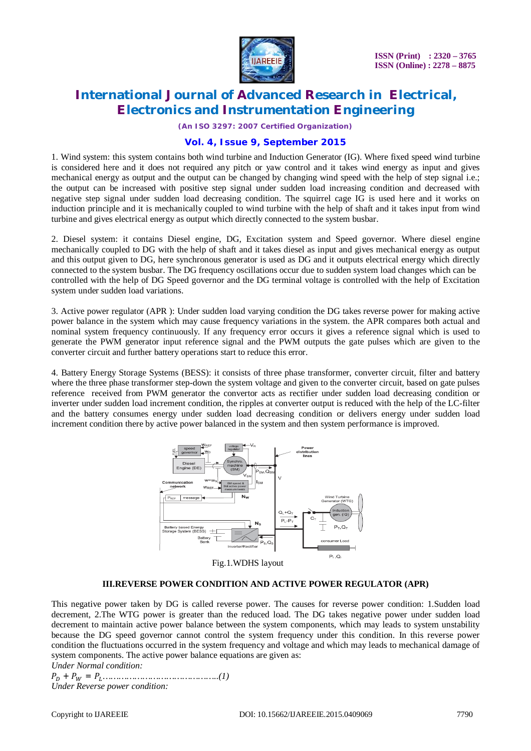

*(An ISO 3297: 2007 Certified Organization)*

### **Vol. 4, Issue 9, September 2015**

1. Wind system: this system contains both wind turbine and Induction Generator (IG). Where fixed speed wind turbine is considered here and it does not required any pitch or yaw control and it takes wind energy as input and gives mechanical energy as output and the output can be changed by changing wind speed with the help of step signal i.e.; the output can be increased with positive step signal under sudden load increasing condition and decreased with negative step signal under sudden load decreasing condition. The squirrel cage IG is used here and it works on induction principle and it is mechanically coupled to wind turbine with the help of shaft and it takes input from wind turbine and gives electrical energy as output which directly connected to the system busbar.

2. Diesel system: it contains Diesel engine, DG, Excitation system and Speed governor. Where diesel engine mechanically coupled to DG with the help of shaft and it takes diesel as input and gives mechanical energy as output and this output given to DG, here synchronous generator is used as DG and it outputs electrical energy which directly connected to the system busbar. The DG frequency oscillations occur due to sudden system load changes which can be controlled with the help of DG Speed governor and the DG terminal voltage is controlled with the help of Excitation system under sudden load variations.

3. Active power regulator (APR ): Under sudden load varying condition the DG takes reverse power for making active power balance in the system which may cause frequency variations in the system. the APR compares both actual and nominal system frequency continuously. If any frequency error occurs it gives a reference signal which is used to generate the PWM generator input reference signal and the PWM outputs the gate pulses which are given to the converter circuit and further battery operations start to reduce this error.

4. Battery Energy Storage Systems (BESS): it consists of three phase transformer, converter circuit, filter and battery where the three phase transformer step-down the system voltage and given to the converter circuit, based on gate pulses reference received from PWM generator the convertor acts as rectifier under sudden load decreasing condition or inverter under sudden load increment condition, the ripples at converter output is reduced with the help of the LC-filter and the battery consumes energy under sudden load decreasing condition or delivers energy under sudden load increment condition there by active power balanced in the system and then system performance is improved.



#### **III.REVERSE POWER CONDITION AND ACTIVE POWER REGULATOR (APR)**

This negative power taken by DG is called reverse power. The causes for reverse power condition: 1.Sudden load decrement, 2.The WTG power is greater than the reduced load. The DG takes negative power under sudden load decrement to maintain active power balance between the system components, which may leads to system unstability because the DG speed governor cannot control the system frequency under this condition. In this reverse power condition the fluctuations occurred in the system frequency and voltage and which may leads to mechanical damage of system components. The active power balance equations are given as:

*Under Normal condition:*

ܲ + ܲ<sup>ௐ</sup> = ܲ*……………………………………..(1) Under Reverse power condition:*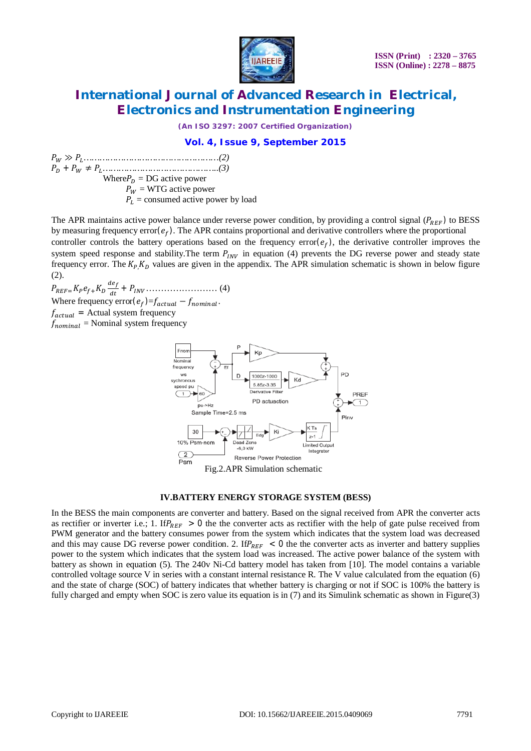

*(An ISO 3297: 2007 Certified Organization)*

### **Vol. 4, Issue 9, September 2015**

ܲ<sup>ௐ</sup> ≫ ܲ*……………………………………………(2)* ܲ + ܲ<sup>ௐ</sup> ≠ ܲ*……………………………………..(3)* Where $P_D = DG$  active power  $P_W$  = WTG active power  $P_L$  = consumed active power by load

The APR maintains active power balance under reverse power condition, by providing a control signal ( $P_{REF}$ ) to BESS by measuring frequency error $(e_f)$ . The APR contains proportional and derivative controllers where the proportional controller controls the battery operations based on the frequency error $(e_f)$ , the derivative controller improves the system speed response and stability. The term  $P_{INV}$  in equation (4) prevents the DG reverse power and steady state frequency error. The  $K_p$ ,  $K_p$  values are given in the appendix. The APR simulation schematic is shown in below figure (2).

 $P_{REF}=K_P e_{f}+K_D \frac{de_{f}}{dt}$ ௗ௧ + ܲூே…………………… (4) Where frequency error $(e_f) = f_{actual} - f_{nominal}$ .

 $f_{actual}$  = Actual system frequency

 $f_{nominal}$  = Nominal system frequency



### **IV.BATTERY ENERGY STORAGE SYSTEM (BESS)**

In the BESS the main components are converter and battery. Based on the signal received from APR the converter acts as rectifier or inverter i.e.; 1. If  $P_{REF} > 0$  the the converter acts as rectifier with the help of gate pulse received from PWM generator and the battery consumes power from the system which indicates that the system load was decreased and this may cause DG reverse power condition. 2. If  $P_{REF} < 0$  the the converter acts as inverter and battery supplies power to the system which indicates that the system load was increased. The active power balance of the system with battery as shown in equation (5). The 240v Ni-Cd battery model has taken from [10]. The model contains a variable controlled voltage source V in series with a constant internal resistance R. The V value calculated from the equation (6) and the state of charge (SOC) of battery indicates that whether battery is charging or not if SOC is 100% the battery is fully charged and empty when SOC is zero value its equation is in (7) and its Simulink schematic as shown in Figure(3)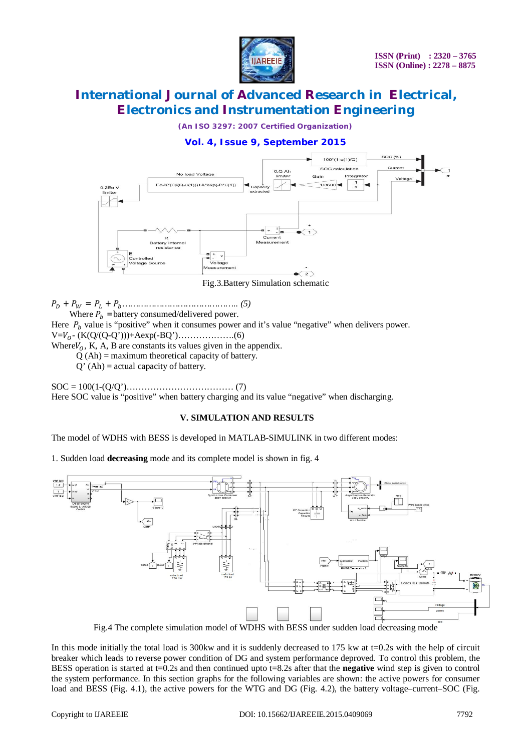

*(An ISO 3297: 2007 Certified Organization)*

### **Vol. 4, Issue 9, September 2015**



Fig.3.Battery Simulation schematic

ܲ + ܲ<sup>ௐ</sup> = ܲ + ܲ*…………………………………….. (5)*

Where  $P_h$  =battery consumed/delivered power.

Here  $P_b$  value is "positive" when it consumes power and it's value "negative" when delivers power.

 $V=V_0$ - (K(Q/(Q-Q')))+Aexp(-BQ')………………..(6)

Where $V_0$ , K, A, B are constants its values given in the appendix.

 $Q(Ah) =$  maximum theoretical capacity of battery.

 $Q'$  (Ah) = actual capacity of battery.

SOC = 100(1-(Q/Q')……………………………… (7) Here SOC value is "positive" when battery charging and its value "negative" when discharging.

#### **V. SIMULATION AND RESULTS**

The model of WDHS with BESS is developed in MATLAB-SIMULINK in two different modes:

1. Sudden load **decreasing** mode and its complete model is shown in fig. 4



Fig.4 The complete simulation model of WDHS with BESS under sudden load decreasing mode

In this mode initially the total load is 300kw and it is suddenly decreased to  $175$  kw at  $t=0.2$ s with the help of circuit breaker which leads to reverse power condition of DG and system performance deproved. To control this problem, the BESS operation is started at t=0.2s and then continued upto t=8.2s after that the **negative** wind step is given to control the system performance. In this section graphs for the following variables are shown: the active powers for consumer load and BESS (Fig. 4.1), the active powers for the WTG and DG (Fig. 4.2), the battery voltage–current–SOC (Fig.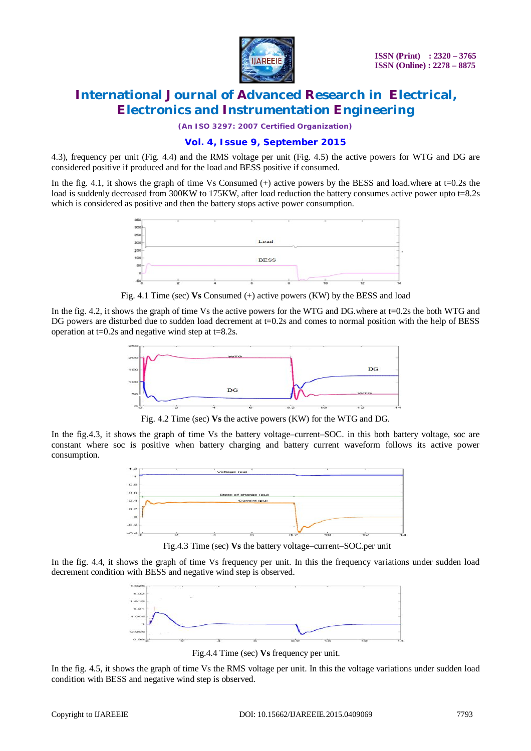

*(An ISO 3297: 2007 Certified Organization)*

### **Vol. 4, Issue 9, September 2015**

4.3), frequency per unit (Fig. 4.4) and the RMS voltage per unit (Fig. 4.5) the active powers for WTG and DG are considered positive if produced and for the load and BESS positive if consumed.

In the fig. 4.1, it shows the graph of time Vs Consumed  $(+)$  active powers by the BESS and load.where at t=0.2s the load is suddenly decreased from 300KW to 175KW, after load reduction the battery consumes active power upto t=8.2s which is considered as positive and then the battery stops active power consumption.



Fig. 4.1 Time (sec) **Vs** Consumed (+) active powers (KW) by the BESS and load

In the fig. 4.2, it shows the graph of time Vs the active powers for the WTG and DG.where at t=0.2s the both WTG and DG powers are disturbed due to sudden load decrement at t=0.2s and comes to normal position with the help of BESS operation at  $t=0.2$ s and negative wind step at  $t=8.2$ s.



Fig. 4.2 Time (sec) **Vs** the active powers (KW) for the WTG and DG.

In the fig.4.3, it shows the graph of time Vs the battery voltage–current–SOC. in this both battery voltage, soc are constant where soc is positive when battery charging and battery current waveform follows its active power consumption.



Fig.4.3 Time (sec) **Vs** the battery voltage–current–SOC.per unit

In the fig. 4.4, it shows the graph of time Vs frequency per unit. In this the frequency variations under sudden load decrement condition with BESS and negative wind step is observed.



Fig.4.4 Time (sec) **Vs** frequency per unit.

In the fig. 4.5, it shows the graph of time Vs the RMS voltage per unit. In this the voltage variations under sudden load condition with BESS and negative wind step is observed.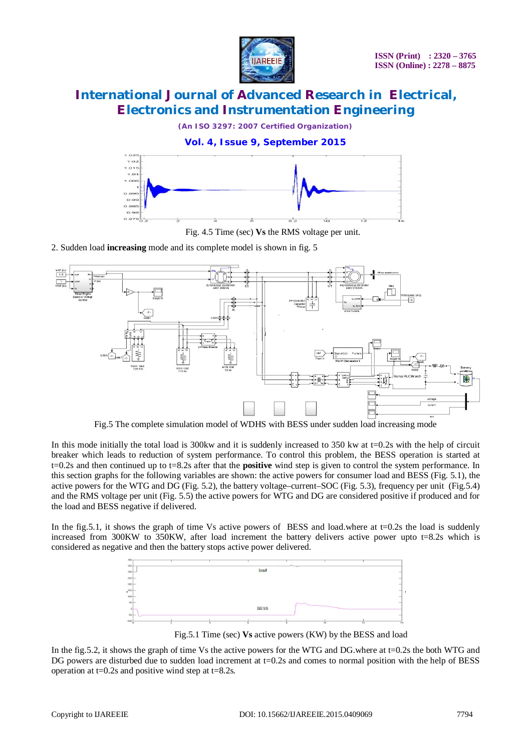

*(An ISO 3297: 2007 Certified Organization)*

### **Vol. 4, Issue 9, September 2015**



Fig. 4.5 Time (sec) **Vs** the RMS voltage per unit.

2. Sudden load **increasing** mode and its complete model is shown in fig. 5



Fig.5 The complete simulation model of WDHS with BESS under sudden load increasing mode

In this mode initially the total load is 300kw and it is suddenly increased to 350 kw at  $t=0.2$ s with the help of circuit breaker which leads to reduction of system performance. To control this problem, the BESS operation is started at t=0.2s and then continued up to t=8.2s after that the **positive** wind step is given to control the system performance. In this section graphs for the following variables are shown: the active powers for consumer load and BESS (Fig. 5.1), the active powers for the WTG and DG (Fig. 5.2), the battery voltage–current–SOC (Fig. 5.3), frequency per unit (Fig.5.4) and the RMS voltage per unit (Fig. 5.5) the active powers for WTG and DG are considered positive if produced and for the load and BESS negative if delivered.

In the fig.5.1, it shows the graph of time Vs active powers of BESS and load.where at  $t=0.2s$  the load is suddenly increased from 300KW to 350KW, after load increment the battery delivers active power upto t=8.2s which is considered as negative and then the battery stops active power delivered.



Fig.5.1 Time (sec) **Vs** active powers (KW) by the BESS and load

In the fig.5.2, it shows the graph of time Vs the active powers for the WTG and DG.where at t=0.2s the both WTG and DG powers are disturbed due to sudden load increment at  $t=0.2s$  and comes to normal position with the help of BESS operation at  $t=0.2$ s and positive wind step at  $t=8.2$ s.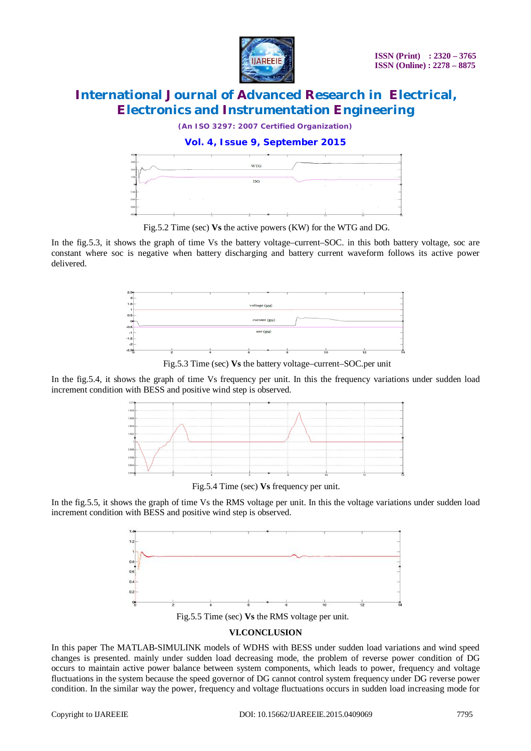

*(An ISO 3297: 2007 Certified Organization)*

### **Vol. 4, Issue 9, September 2015**



Fig.5.2 Time (sec) **Vs** the active powers (KW) for the WTG and DG.

In the fig.5.3, it shows the graph of time Vs the battery voltage–current–SOC. in this both battery voltage, soc are constant where soc is negative when battery discharging and battery current waveform follows its active power delivered.



Fig.5.3 Time (sec) **Vs** the battery voltage–current–SOC.per unit

In the fig.5.4, it shows the graph of time Vs frequency per unit. In this the frequency variations under sudden load increment condition with BESS and positive wind step is observed.



Fig.5.4 Time (sec) **Vs** frequency per unit.

In the fig.5.5, it shows the graph of time Vs the RMS voltage per unit. In this the voltage variations under sudden load increment condition with BESS and positive wind step is observed.



Fig.5.5 Time (sec) **Vs** the RMS voltage per unit.

### **VI.CONCLUSION**

In this paper The MATLAB-SIMULINK models of WDHS with BESS under sudden load variations and wind speed changes is presented. mainly under sudden load decreasing mode, the problem of reverse power condition of DG occurs to maintain active power balance between system components, which leads to power, frequency and voltage fluctuations in the system because the speed governor of DG cannot control system frequency under DG reverse power condition. In the similar way the power, frequency and voltage fluctuations occurs in sudden load increasing mode for